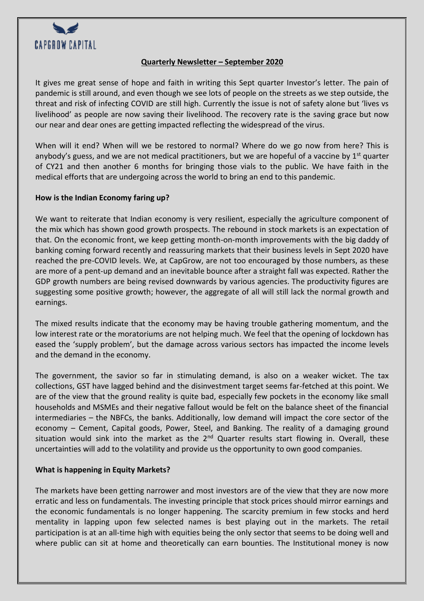

## **Quarterly Newsletter – September 2020**

It gives me great sense of hope and faith in writing this Sept quarter Investor's letter. The pain of pandemic is still around, and even though we see lots of people on the streets as we step outside, the threat and risk of infecting COVID are still high. Currently the issue is not of safety alone but 'lives vs livelihood' as people are now saving their livelihood. The recovery rate is the saving grace but now our near and dear ones are getting impacted reflecting the widespread of the virus.

When will it end? When will we be restored to normal? Where do we go now from here? This is anybody's guess, and we are not medical practitioners, but we are hopeful of a vaccine by  $1<sup>st</sup>$  quarter of CY21 and then another 6 months for bringing those vials to the public. We have faith in the medical efforts that are undergoing across the world to bring an end to this pandemic.

### **How is the Indian Economy faring up?**

We want to reiterate that Indian economy is very resilient, especially the agriculture component of the mix which has shown good growth prospects. The rebound in stock markets is an expectation of that. On the economic front, we keep getting month-on-month improvements with the big daddy of banking coming forward recently and reassuring markets that their business levels in Sept 2020 have reached the pre-COVID levels. We, at CapGrow, are not too encouraged by those numbers, as these are more of a pent-up demand and an inevitable bounce after a straight fall was expected. Rather the GDP growth numbers are being revised downwards by various agencies. The productivity figures are suggesting some positive growth; however, the aggregate of all will still lack the normal growth and earnings.

The mixed results indicate that the economy may be having trouble gathering momentum, and the low interest rate or the moratoriums are not helping much. We feel that the opening of lockdown has eased the 'supply problem', but the damage across various sectors has impacted the income levels and the demand in the economy.

The government, the savior so far in stimulating demand, is also on a weaker wicket. The tax collections, GST have lagged behind and the disinvestment target seems far-fetched at this point. We are of the view that the ground reality is quite bad, especially few pockets in the economy like small households and MSMEs and their negative fallout would be felt on the balance sheet of the financial intermediaries – the NBFCs, the banks. Additionally, low demand will impact the core sector of the economy – Cement, Capital goods, Power, Steel, and Banking. The reality of a damaging ground situation would sink into the market as the  $2^{nd}$  Quarter results start flowing in. Overall, these uncertainties will add to the volatility and provide us the opportunity to own good companies.

### **What is happening in Equity Markets?**

The markets have been getting narrower and most investors are of the view that they are now more erratic and less on fundamentals. The investing principle that stock prices should mirror earnings and the economic fundamentals is no longer happening. The scarcity premium in few stocks and herd mentality in lapping upon few selected names is best playing out in the markets. The retail participation is at an all-time high with equities being the only sector that seems to be doing well and where public can sit at home and theoretically can earn bounties. The Institutional money is now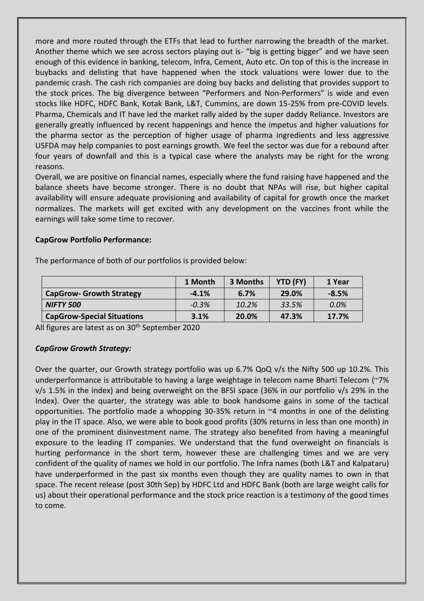more and more routed through the ETFs that lead to further narrowing the breadth of the market. Another theme which we see across sectors playing out is- "big is getting bigger" and we have seen enough of this evidence in banking, telecom, Infra, Cement, Auto etc. On top of this is the increase in buybacks and delisting that have happened when the stock valuations were lower due to the pandemic crash. The cash rich companies are doing buy backs and delisting that provides support to the stock prices. The big divergence between "Performers and Non-Performers" is wide and even stocks like HDFC, HDFC Bank, Kotak Bank, L&T, Cummins, are down 15-25% from pre-COVID levels. Pharma, Chemicals and IT have led the market rally aided by the super daddy Reliance. Investors are generally greatly influenced by recent happenings and hence the impetus and higher valuations for the pharma sector as the perception of higher usage of pharma ingredients and less aggressive USFDA may help companies to post earnings growth. We feel the sector was due for a rebound after four years of downfall and this is a typical case where the analysts may be right for the wrong reasons.

Overall, we are positive on financial names, especially where the fund raising have happened and the balance sheets have become stronger. There is no doubt that NPAs will rise, but higher capital availability will ensure adequate provisioning and availability of capital for growth once the market normalizes. The markets will get excited with any development on the vaccines front while the earnings will take some time to recover.

### **CapGrow Portfolio Performance:**

|                                   | 1 Month | 3 Months | YTD (FY) | 1 Year  |
|-----------------------------------|---------|----------|----------|---------|
| <b>CapGrow- Growth Strategy</b>   | $-4.1%$ | 6.7%     | 29.0%    | $-8.5%$ |
| <b>NIFTY 500</b>                  | $-0.3%$ | 10.2%    | 33.5%    | 0.0%    |
| <b>CapGrow-Special Situations</b> | 3.1%    | 20.0%    | 47.3%    | 17.7%   |

The performance of both of our portfolios is provided below:

All figures are latest as on 30<sup>th</sup> September 2020

# *CapGrow Growth Strategy:*

Over the quarter, our Growth strategy portfolio was up 6.7% QoQ v/s the Nifty 500 up 10.2%. This underperformance is attributable to having a large weightage in telecom name Bharti Telecom (~7% v/s 1.5% in the index) and being overweight on the BFSI space (36% in our portfolio v/s 29% in the Index). Over the quarter, the strategy was able to book handsome gains in some of the tactical opportunities. The portfolio made a whopping 30-35% return in  $\sim$ 4 months in one of the delisting play in the IT space. Also, we were able to book good profits (30% returns in less than one month) in one of the prominent disinvestment name. The strategy also benefited from having a meaningful exposure to the leading IT companies. We understand that the fund overweight on financials is hurting performance in the short term, however these are challenging times and we are very confident of the quality of names we hold in our portfolio. The Infra names (both L&T and Kalpataru) have underperformed in the past six months even though they are quality names to own in that space. The recent release (post 30th Sep) by HDFC Ltd and HDFC Bank (both are large weight calls for us) about their operational performance and the stock price reaction is a testimony of the good times to come.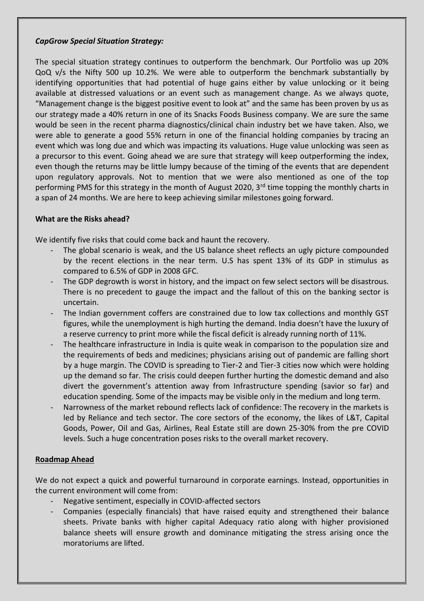### *CapGrow Special Situation Strategy:*

The special situation strategy continues to outperform the benchmark. Our Portfolio was up 20% QoQ v/s the Nifty 500 up 10.2%. We were able to outperform the benchmark substantially by identifying opportunities that had potential of huge gains either by value unlocking or it being available at distressed valuations or an event such as management change. As we always quote, "Management change is the biggest positive event to look at" and the same has been proven by us as our strategy made a 40% return in one of its Snacks Foods Business company. We are sure the same would be seen in the recent pharma diagnostics/clinical chain industry bet we have taken. Also, we were able to generate a good 55% return in one of the financial holding companies by tracing an event which was long due and which was impacting its valuations. Huge value unlocking was seen as a precursor to this event. Going ahead we are sure that strategy will keep outperforming the index, even though the returns may be little lumpy because of the timing of the events that are dependent upon regulatory approvals. Not to mention that we were also mentioned as one of the top performing PMS for this strategy in the month of August 2020, 3<sup>rd</sup> time topping the monthly charts in a span of 24 months. We are here to keep achieving similar milestones going forward.

### **What are the Risks ahead?**

We identify five risks that could come back and haunt the recovery.

- The global scenario is weak, and the US balance sheet reflects an ugly picture compounded by the recent elections in the near term. U.S has spent 13% of its GDP in stimulus as compared to 6.5% of GDP in 2008 GFC.
- The GDP degrowth is worst in history, and the impact on few select sectors will be disastrous. There is no precedent to gauge the impact and the fallout of this on the banking sector is uncertain.
- The Indian government coffers are constrained due to low tax collections and monthly GST figures, while the unemployment is high hurting the demand. India doesn't have the luxury of a reserve currency to print more while the fiscal deficit is already running north of 11%.
- The healthcare infrastructure in India is quite weak in comparison to the population size and the requirements of beds and medicines; physicians arising out of pandemic are falling short by a huge margin. The COVID is spreading to Tier-2 and Tier-3 cities now which were holding up the demand so far. The crisis could deepen further hurting the domestic demand and also divert the government's attention away from Infrastructure spending (savior so far) and education spending. Some of the impacts may be visible only in the medium and long term.
- Narrowness of the market rebound reflects lack of confidence: The recovery in the markets is led by Reliance and tech sector. The core sectors of the economy, the likes of L&T, Capital Goods, Power, Oil and Gas, Airlines, Real Estate still are down 25-30% from the pre COVID levels. Such a huge concentration poses risks to the overall market recovery.

### **Roadmap Ahead**

We do not expect a quick and powerful turnaround in corporate earnings. Instead, opportunities in the current environment will come from:

- Negative sentiment, especially in COVID-affected sectors
- Companies (especially financials) that have raised equity and strengthened their balance sheets. Private banks with higher capital Adequacy ratio along with higher provisioned balance sheets will ensure growth and dominance mitigating the stress arising once the moratoriums are lifted.